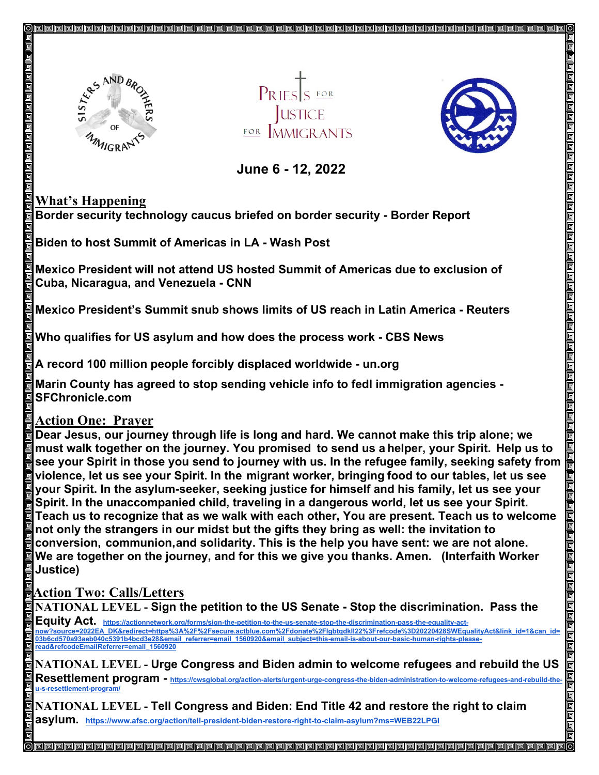

PRIES S FOR **JUSTICE** FOR MMICRANTS



 **June 6 - 12, 2022** 

## **What's Happening**

**Border security technology caucus briefed on border security - Border Report**

**Biden to host Summit of Americas in LA - Wash Post**

**Mexico President will not attend US hosted Summit of Americas due to exclusion of Cuba, Nicaragua, and Venezuela - CNN**

**Mexico President's Summit snub shows limits of US reach in Latin America - Reuters**

**Who qualifies for US asylum and how does the process work - CBS News**

**A record 100 million people forcibly displaced worldwide - un.org**

**Marin County has agreed to stop sending vehicle info to fedl immigration agencies - SFChronicle.com**

## **Action One: Prayer**

**Dear Jesus, our journey through life is long and hard. We cannot make this trip alone; we must walk together on the journey. You promised to send us a helper, your Spirit. Help us to see your Spirit in those you send to journey with us. In the refugee family, seeking safety from violence, let us see your Spirit. In the migrant worker, bringing food to our tables, let us see your Spirit. In the asylum-seeker, seeking justice for himself and his family, let us see your Spirit. In the unaccompanied child, traveling in a dangerous world, let us see your Spirit. Teach us to recognize that as we walk with each other, You are present. Teach us to welcome not only the strangers in our midst but the gifts they bring as well: the invitation to conversion, communion,and solidarity. This is the help you have sent: we are not alone. We are together on the journey, and for this we give you thanks. Amen. (Interfaith Worker Justice)**

## **Action Two: Calls/Letters**

**NATIONAL LEVEL - Sign the petition to the US Senate - Stop the discrimination. Pass the Equity Act. [https://actionnetwork.org/forms/sign-the-petition-to-the-us-senate-stop-the-discrimination-pass-the-equality-act](https://actionnetwork.org/forms/sign-the-petition-to-the-us-senate-stop-the-discrimination-pass-the-equality-act-now?source=2022EA_DK&redirect=https%3A%2F%2Fsecure.actblue.com%2Fdonate%2Flgbtqdkll22%3Frefcode%3D20220428SWEqualityAct&link_id=1&can_id=03b6cd570a93aeb040c5391b4bcd3e28&email_referrer=email_1560920&email_subject=this-email-is-about-our-basic-human-rights-please-read&refcodeEmailReferrer=email_1560920)[now?source=2022EA\\_DK&redirect=https%3A%2F%2Fsecure.actblue.com%2Fdonate%2Flgbtqdkll22%3Frefcode%3D20220428SWEqualityAct&link\\_id=1&can\\_id=](https://actionnetwork.org/forms/sign-the-petition-to-the-us-senate-stop-the-discrimination-pass-the-equality-act-now?source=2022EA_DK&redirect=https%3A%2F%2Fsecure.actblue.com%2Fdonate%2Flgbtqdkll22%3Frefcode%3D20220428SWEqualityAct&link_id=1&can_id=03b6cd570a93aeb040c5391b4bcd3e28&email_referrer=email_1560920&email_subject=this-email-is-about-our-basic-human-rights-please-read&refcodeEmailReferrer=email_1560920)** [03b6cd570a93aeb040c5391b4bcd3e28&email\\_referrer=email\\_1560920&email\\_subject=this-email-is-about-our-basic-human-rights-please](https://actionnetwork.org/forms/sign-the-petition-to-the-us-senate-stop-the-discrimination-pass-the-equality-act-now?source=2022EA_DK&redirect=https%3A%2F%2Fsecure.actblue.com%2Fdonate%2Flgbtqdkll22%3Frefcode%3D20220428SWEqualityAct&link_id=1&can_id=03b6cd570a93aeb040c5391b4bcd3e28&email_referrer=email_1560920&email_subject=this-email-is-about-our-basic-human-rights-please-read&refcodeEmailReferrer=email_1560920)**[read&refcodeEmailReferrer=email\\_1560920](https://actionnetwork.org/forms/sign-the-petition-to-the-us-senate-stop-the-discrimination-pass-the-equality-act-now?source=2022EA_DK&redirect=https%3A%2F%2Fsecure.actblue.com%2Fdonate%2Flgbtqdkll22%3Frefcode%3D20220428SWEqualityAct&link_id=1&can_id=03b6cd570a93aeb040c5391b4bcd3e28&email_referrer=email_1560920&email_subject=this-email-is-about-our-basic-human-rights-please-read&refcodeEmailReferrer=email_1560920) NATIONAL LEVEL - Urge Congress and Biden admin to welcome refugees and rebuild the US** 

Resettlement program - [https://cwsglobal.org/action-alerts/urgent-urge-congress-the-biden-administration-to-welcome-refugees-and-rebuild-the](https://cwsglobal.org/action-alerts/urgent-urge-congress-the-biden-administration-to-welcome-refugees-and-rebuild-the-u-s-resettlement-program/)**[u-s-resettlement-program/](https://cwsglobal.org/action-alerts/urgent-urge-congress-the-biden-administration-to-welcome-refugees-and-rebuild-the-u-s-resettlement-program/)**

<u>I a a a a a a a a a a a a a a a a a a </u>

**NATIONAL LEVEL - Tell Congress and Biden: End Title 42 and restore the right to claim asylum. <https://www.afsc.org/action/tell-president-biden-restore-right-to-claim-asylum?ms=WEB22LPGI>**